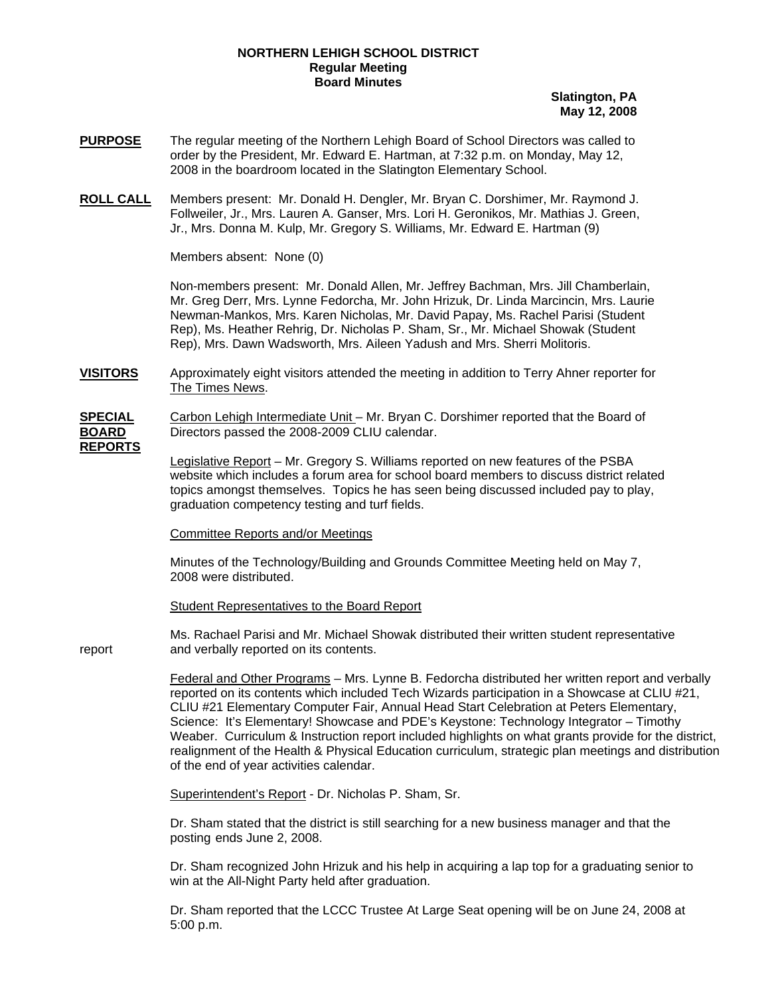## **NORTHERN LEHIGH SCHOOL DISTRICT Regular Meeting Board Minutes**

**Slatington, PA May 12, 2008**

- **PURPOSE** The regular meeting of the Northern Lehigh Board of School Directors was called to order by the President, Mr. Edward E. Hartman, at 7:32 p.m. on Monday, May 12, 2008 in the boardroom located in the Slatington Elementary School.
- **ROLL CALL** Members present: Mr. Donald H. Dengler, Mr. Bryan C. Dorshimer, Mr. Raymond J. Follweiler, Jr., Mrs. Lauren A. Ganser, Mrs. Lori H. Geronikos, Mr. Mathias J. Green, Jr., Mrs. Donna M. Kulp, Mr. Gregory S. Williams, Mr. Edward E. Hartman (9)

Members absent: None (0)

Non-members present: Mr. Donald Allen, Mr. Jeffrey Bachman, Mrs. Jill Chamberlain, Mr. Greg Derr, Mrs. Lynne Fedorcha, Mr. John Hrizuk, Dr. Linda Marcincin, Mrs. Laurie Newman-Mankos, Mrs. Karen Nicholas, Mr. David Papay, Ms. Rachel Parisi (Student Rep), Ms. Heather Rehrig, Dr. Nicholas P. Sham, Sr., Mr. Michael Showak (Student Rep), Mrs. Dawn Wadsworth, Mrs. Aileen Yadush and Mrs. Sherri Molitoris.

**VISITORS** Approximately eight visitors attended the meeting in addition to Terry Ahner reporter for The Times News.

**SPECIAL** Carbon Lehigh Intermediate Unit – Mr. Bryan C. Dorshimer reported that the Board of **BOARD** Directors passed the 2008-2009 CLIU calendar. **REPORTS**

> Legislative Report – Mr. Gregory S. Williams reported on new features of the PSBA website which includes a forum area for school board members to discuss district related topics amongst themselves. Topics he has seen being discussed included pay to play, graduation competency testing and turf fields.

Committee Reports and/or Meetings

Minutes of the Technology/Building and Grounds Committee Meeting held on May 7, 2008 were distributed.

Student Representatives to the Board Report

 Ms. Rachael Parisi and Mr. Michael Showak distributed their written student representative report and verbally reported on its contents.

> Federal and Other Programs – Mrs. Lynne B. Fedorcha distributed her written report and verbally reported on its contents which included Tech Wizards participation in a Showcase at CLIU #21, CLIU #21 Elementary Computer Fair, Annual Head Start Celebration at Peters Elementary, Science: It's Elementary! Showcase and PDE's Keystone: Technology Integrator – Timothy Weaber. Curriculum & Instruction report included highlights on what grants provide for the district, realignment of the Health & Physical Education curriculum, strategic plan meetings and distribution of the end of year activities calendar.

Superintendent's Report - Dr. Nicholas P. Sham, Sr.

 Dr. Sham stated that the district is still searching for a new business manager and that the posting ends June 2, 2008.

 Dr. Sham recognized John Hrizuk and his help in acquiring a lap top for a graduating senior to win at the All-Night Party held after graduation.

Dr. Sham reported that the LCCC Trustee At Large Seat opening will be on June 24, 2008 at 5:00 p.m.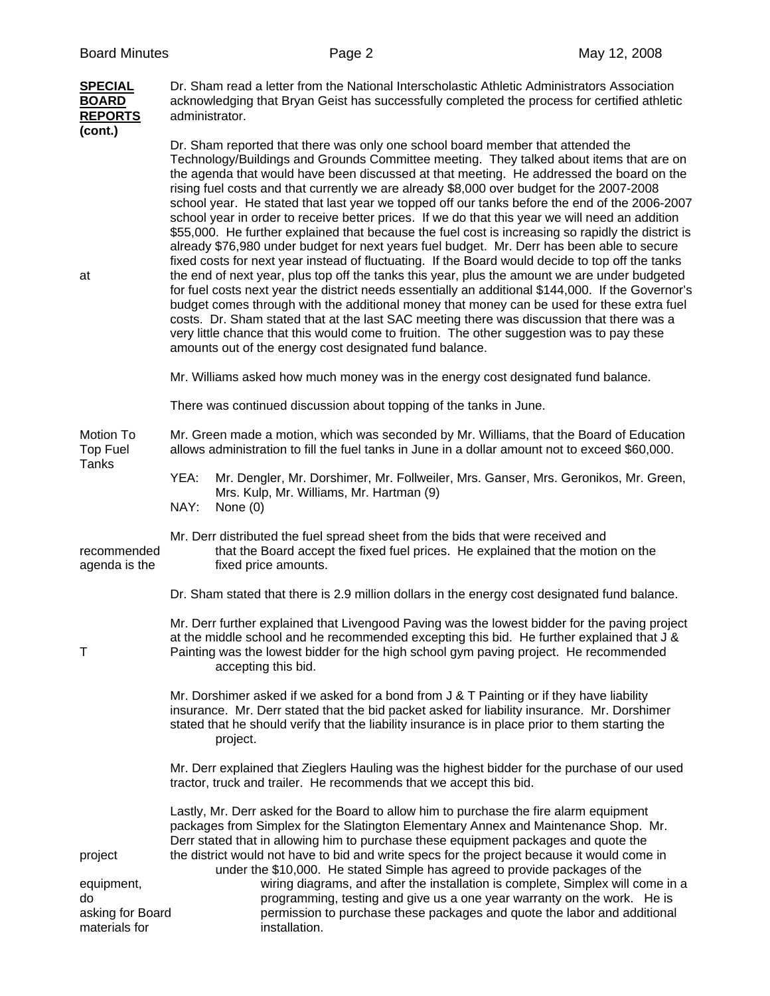|  | <b>SPECIAL</b><br><b>BOARD</b><br><b>REPORTS</b><br>(cont.)      | Dr. Sham read a letter from the National Interscholastic Athletic Administrators Association<br>acknowledging that Bryan Geist has successfully completed the process for certified athletic<br>administrator.                                                                                                                                                                                                                                                                                                                                                                                                                                                                                                                                                                                                                                                                                                                                                                                                                                                                                                                                                                                                                                                                                                                                                                                                                             |  |  |  |
|--|------------------------------------------------------------------|--------------------------------------------------------------------------------------------------------------------------------------------------------------------------------------------------------------------------------------------------------------------------------------------------------------------------------------------------------------------------------------------------------------------------------------------------------------------------------------------------------------------------------------------------------------------------------------------------------------------------------------------------------------------------------------------------------------------------------------------------------------------------------------------------------------------------------------------------------------------------------------------------------------------------------------------------------------------------------------------------------------------------------------------------------------------------------------------------------------------------------------------------------------------------------------------------------------------------------------------------------------------------------------------------------------------------------------------------------------------------------------------------------------------------------------------|--|--|--|
|  | at                                                               | Dr. Sham reported that there was only one school board member that attended the<br>Technology/Buildings and Grounds Committee meeting. They talked about items that are on<br>the agenda that would have been discussed at that meeting. He addressed the board on the<br>rising fuel costs and that currently we are already \$8,000 over budget for the 2007-2008<br>school year. He stated that last year we topped off our tanks before the end of the 2006-2007<br>school year in order to receive better prices. If we do that this year we will need an addition<br>\$55,000. He further explained that because the fuel cost is increasing so rapidly the district is<br>already \$76,980 under budget for next years fuel budget. Mr. Derr has been able to secure<br>fixed costs for next year instead of fluctuating. If the Board would decide to top off the tanks<br>the end of next year, plus top off the tanks this year, plus the amount we are under budgeted<br>for fuel costs next year the district needs essentially an additional \$144,000. If the Governor's<br>budget comes through with the additional money that money can be used for these extra fuel<br>costs. Dr. Sham stated that at the last SAC meeting there was discussion that there was a<br>very little chance that this would come to fruition. The other suggestion was to pay these<br>amounts out of the energy cost designated fund balance. |  |  |  |
|  |                                                                  | Mr. Williams asked how much money was in the energy cost designated fund balance.                                                                                                                                                                                                                                                                                                                                                                                                                                                                                                                                                                                                                                                                                                                                                                                                                                                                                                                                                                                                                                                                                                                                                                                                                                                                                                                                                          |  |  |  |
|  |                                                                  | There was continued discussion about topping of the tanks in June.                                                                                                                                                                                                                                                                                                                                                                                                                                                                                                                                                                                                                                                                                                                                                                                                                                                                                                                                                                                                                                                                                                                                                                                                                                                                                                                                                                         |  |  |  |
|  | Motion To<br>Top Fuel<br>Tanks                                   | Mr. Green made a motion, which was seconded by Mr. Williams, that the Board of Education<br>allows administration to fill the fuel tanks in June in a dollar amount not to exceed \$60,000.                                                                                                                                                                                                                                                                                                                                                                                                                                                                                                                                                                                                                                                                                                                                                                                                                                                                                                                                                                                                                                                                                                                                                                                                                                                |  |  |  |
|  |                                                                  | Mr. Dengler, Mr. Dorshimer, Mr. Follweiler, Mrs. Ganser, Mrs. Geronikos, Mr. Green,<br>YEA:<br>Mrs. Kulp, Mr. Williams, Mr. Hartman (9)<br>NAY:<br>None $(0)$                                                                                                                                                                                                                                                                                                                                                                                                                                                                                                                                                                                                                                                                                                                                                                                                                                                                                                                                                                                                                                                                                                                                                                                                                                                                              |  |  |  |
|  | recommended<br>agenda is the                                     | Mr. Derr distributed the fuel spread sheet from the bids that were received and<br>that the Board accept the fixed fuel prices. He explained that the motion on the<br>fixed price amounts.                                                                                                                                                                                                                                                                                                                                                                                                                                                                                                                                                                                                                                                                                                                                                                                                                                                                                                                                                                                                                                                                                                                                                                                                                                                |  |  |  |
|  |                                                                  | Dr. Sham stated that there is 2.9 million dollars in the energy cost designated fund balance.                                                                                                                                                                                                                                                                                                                                                                                                                                                                                                                                                                                                                                                                                                                                                                                                                                                                                                                                                                                                                                                                                                                                                                                                                                                                                                                                              |  |  |  |
|  | $\mathsf T$                                                      | Mr. Derr further explained that Livengood Paving was the lowest bidder for the paving project<br>at the middle school and he recommended excepting this bid. He further explained that J &<br>Painting was the lowest bidder for the high school gym paving project. He recommended<br>accepting this bid.                                                                                                                                                                                                                                                                                                                                                                                                                                                                                                                                                                                                                                                                                                                                                                                                                                                                                                                                                                                                                                                                                                                                 |  |  |  |
|  |                                                                  | Mr. Dorshimer asked if we asked for a bond from J & T Painting or if they have liability<br>insurance. Mr. Derr stated that the bid packet asked for liability insurance. Mr. Dorshimer<br>stated that he should verify that the liability insurance is in place prior to them starting the<br>project.                                                                                                                                                                                                                                                                                                                                                                                                                                                                                                                                                                                                                                                                                                                                                                                                                                                                                                                                                                                                                                                                                                                                    |  |  |  |
|  |                                                                  | Mr. Derr explained that Zieglers Hauling was the highest bidder for the purchase of our used<br>tractor, truck and trailer. He recommends that we accept this bid.                                                                                                                                                                                                                                                                                                                                                                                                                                                                                                                                                                                                                                                                                                                                                                                                                                                                                                                                                                                                                                                                                                                                                                                                                                                                         |  |  |  |
|  | project<br>equipment,<br>do<br>asking for Board<br>materials for | Lastly, Mr. Derr asked for the Board to allow him to purchase the fire alarm equipment<br>packages from Simplex for the Slatington Elementary Annex and Maintenance Shop. Mr.<br>Derr stated that in allowing him to purchase these equipment packages and quote the<br>the district would not have to bid and write specs for the project because it would come in<br>under the \$10,000. He stated Simple has agreed to provide packages of the<br>wiring diagrams, and after the installation is complete, Simplex will come in a<br>programming, testing and give us a one year warranty on the work. He is<br>permission to purchase these packages and quote the labor and additional<br>installation.                                                                                                                                                                                                                                                                                                                                                                                                                                                                                                                                                                                                                                                                                                                               |  |  |  |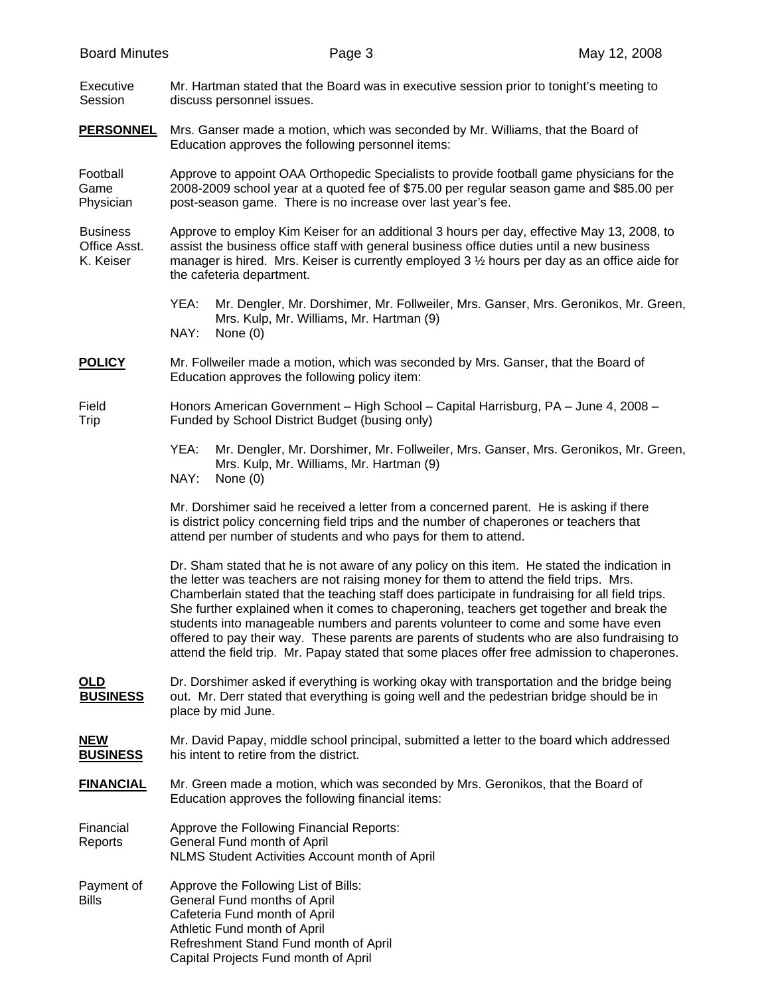| <b>Board Minutes</b>                         |                                                                                                                                                                                                                        | Page 3                                                                                                                                                                                                                                                                                                                                                                                                                                                                                                                                                                                                                                                                   | May 12, 2008 |  |  |
|----------------------------------------------|------------------------------------------------------------------------------------------------------------------------------------------------------------------------------------------------------------------------|--------------------------------------------------------------------------------------------------------------------------------------------------------------------------------------------------------------------------------------------------------------------------------------------------------------------------------------------------------------------------------------------------------------------------------------------------------------------------------------------------------------------------------------------------------------------------------------------------------------------------------------------------------------------------|--------------|--|--|
| Executive<br>Session                         | Mr. Hartman stated that the Board was in executive session prior to tonight's meeting to<br>discuss personnel issues.                                                                                                  |                                                                                                                                                                                                                                                                                                                                                                                                                                                                                                                                                                                                                                                                          |              |  |  |
| <b>PERSONNEL</b>                             | Mrs. Ganser made a motion, which was seconded by Mr. Williams, that the Board of<br>Education approves the following personnel items:                                                                                  |                                                                                                                                                                                                                                                                                                                                                                                                                                                                                                                                                                                                                                                                          |              |  |  |
| Football<br>Game<br>Physician                |                                                                                                                                                                                                                        | Approve to appoint OAA Orthopedic Specialists to provide football game physicians for the<br>2008-2009 school year at a quoted fee of \$75.00 per regular season game and \$85.00 per<br>post-season game. There is no increase over last year's fee.                                                                                                                                                                                                                                                                                                                                                                                                                    |              |  |  |
| <b>Business</b><br>Office Asst.<br>K. Keiser | the cafeteria department.                                                                                                                                                                                              | Approve to employ Kim Keiser for an additional 3 hours per day, effective May 13, 2008, to<br>assist the business office staff with general business office duties until a new business<br>manager is hired. Mrs. Keiser is currently employed 3 1/2 hours per day as an office aide for                                                                                                                                                                                                                                                                                                                                                                                 |              |  |  |
|                                              | YEA:<br>Mrs. Kulp, Mr. Williams, Mr. Hartman (9)<br>NAY:<br>None $(0)$                                                                                                                                                 | Mr. Dengler, Mr. Dorshimer, Mr. Follweiler, Mrs. Ganser, Mrs. Geronikos, Mr. Green,                                                                                                                                                                                                                                                                                                                                                                                                                                                                                                                                                                                      |              |  |  |
| <b>POLICY</b>                                | Education approves the following policy item:                                                                                                                                                                          | Mr. Follweiler made a motion, which was seconded by Mrs. Ganser, that the Board of                                                                                                                                                                                                                                                                                                                                                                                                                                                                                                                                                                                       |              |  |  |
| Field<br>Trip                                | Funded by School District Budget (busing only)                                                                                                                                                                         | Honors American Government - High School - Capital Harrisburg, PA - June 4, 2008 -                                                                                                                                                                                                                                                                                                                                                                                                                                                                                                                                                                                       |              |  |  |
|                                              | YEA:<br>Mrs. Kulp, Mr. Williams, Mr. Hartman (9)<br>NAY:<br>None $(0)$                                                                                                                                                 | Mr. Dengler, Mr. Dorshimer, Mr. Follweiler, Mrs. Ganser, Mrs. Geronikos, Mr. Green,                                                                                                                                                                                                                                                                                                                                                                                                                                                                                                                                                                                      |              |  |  |
|                                              |                                                                                                                                                                                                                        | Mr. Dorshimer said he received a letter from a concerned parent. He is asking if there<br>is district policy concerning field trips and the number of chaperones or teachers that<br>attend per number of students and who pays for them to attend.                                                                                                                                                                                                                                                                                                                                                                                                                      |              |  |  |
|                                              |                                                                                                                                                                                                                        | Dr. Sham stated that he is not aware of any policy on this item. He stated the indication in<br>the letter was teachers are not raising money for them to attend the field trips. Mrs.<br>Chamberlain stated that the teaching staff does participate in fundraising for all field trips.<br>She further explained when it comes to chaperoning, teachers get together and break the<br>students into manageable numbers and parents volunteer to come and some have even<br>offered to pay their way. These parents are parents of students who are also fundraising to<br>attend the field trip. Mr. Papay stated that some places offer free admission to chaperones. |              |  |  |
| <u>OLD</u><br><b>BUSINESS</b>                | place by mid June.                                                                                                                                                                                                     | Dr. Dorshimer asked if everything is working okay with transportation and the bridge being<br>out. Mr. Derr stated that everything is going well and the pedestrian bridge should be in                                                                                                                                                                                                                                                                                                                                                                                                                                                                                  |              |  |  |
| <b>NEW</b><br><b>BUSINESS</b>                | his intent to retire from the district.                                                                                                                                                                                | Mr. David Papay, middle school principal, submitted a letter to the board which addressed                                                                                                                                                                                                                                                                                                                                                                                                                                                                                                                                                                                |              |  |  |
| <b>FINANCIAL</b>                             | Education approves the following financial items:                                                                                                                                                                      | Mr. Green made a motion, which was seconded by Mrs. Geronikos, that the Board of                                                                                                                                                                                                                                                                                                                                                                                                                                                                                                                                                                                         |              |  |  |
| Financial<br>Reports                         | Approve the Following Financial Reports:<br>General Fund month of April<br>NLMS Student Activities Account month of April                                                                                              |                                                                                                                                                                                                                                                                                                                                                                                                                                                                                                                                                                                                                                                                          |              |  |  |
| Payment of<br><b>Bills</b>                   | Approve the Following List of Bills:<br>General Fund months of April<br>Cafeteria Fund month of April<br>Athletic Fund month of April<br>Refreshment Stand Fund month of April<br>Capital Projects Fund month of April |                                                                                                                                                                                                                                                                                                                                                                                                                                                                                                                                                                                                                                                                          |              |  |  |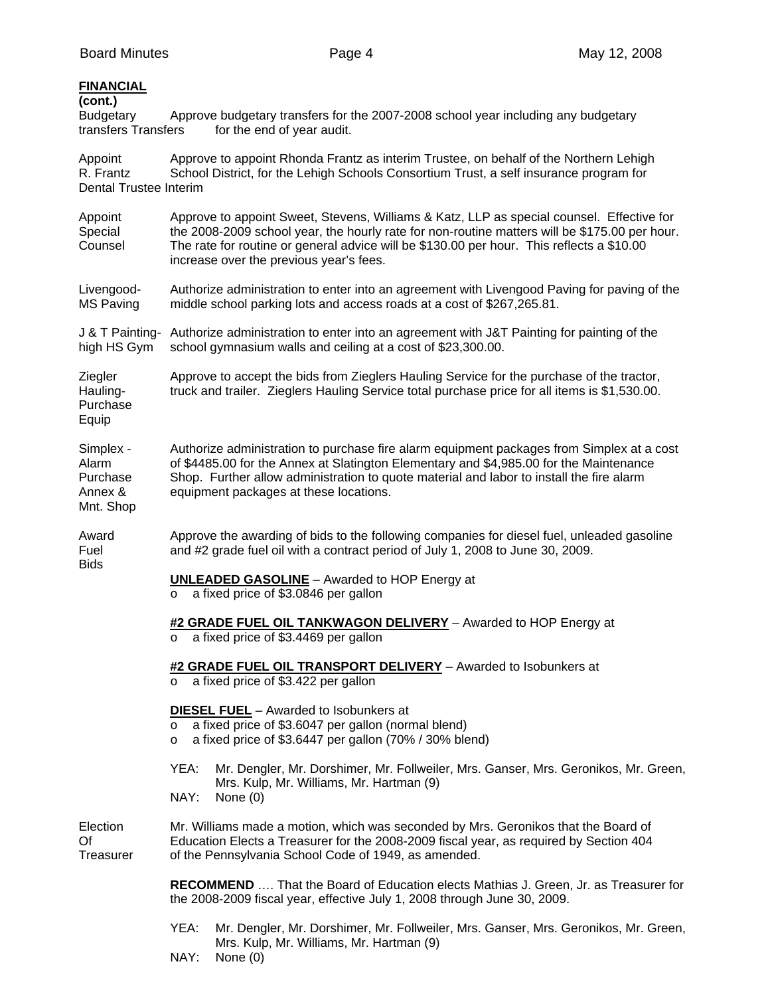## **FINANCIAL (cont.)**  Budgetary Approve budgetary transfers for the 2007-2008 school year including any budgetary transfers Transfers for the end of year audit. Appoint Approve to appoint Rhonda Frantz as interim Trustee, on behalf of the Northern Lehigh R. Frantz School District, for the Lehigh Schools Consortium Trust, a self insurance program for Dental Trustee Interim Appoint Approve to appoint Sweet, Stevens, Williams & Katz, LLP as special counsel. Effective for Special the 2008-2009 school year, the hourly rate for non-routine matters will be \$175.00 per hour. Counsel The rate for routine or general advice will be \$130.00 per hour. This reflects a \$10.00 increase over the previous year's fees. Livengood- Authorize administration to enter into an agreement with Livengood Paving for paving of the MS Paving middle school parking lots and access roads at a cost of \$267,265.81. J & T Painting- Authorize administration to enter into an agreement with J&T Painting for painting of the high HS Gym school gymnasium walls and ceiling at a cost of \$23,300.00. Ziegler Approve to accept the bids from Zieglers Hauling Service for the purchase of the tractor, Hauling- truck and trailer. Zieglers Hauling Service total purchase price for all items is \$1,530.00. Purchase Equip Simplex - Authorize administration to purchase fire alarm equipment packages from Simplex at a cost Alarm of \$4485.00 for the Annex at Slatington Elementary and \$4,985.00 for the Maintenance Purchase Shop. Further allow administration to quote material and labor to install the fire alarm Annex & equipment packages at these locations. Mnt. Shop Award Approve the awarding of bids to the following companies for diesel fuel, unleaded gasoline Fuel and #2 grade fuel oil with a contract period of July 1, 2008 to June 30, 2009. Bids  **UNLEADED GASOLINE** – Awarded to HOP Energy at o a fixed price of \$3.0846 per gallon **#2 GRADE FUEL OIL TANKWAGON DELIVERY** – Awarded to HOP Energy at o a fixed price of \$3.4469 per gallon **#2 GRADE FUEL OIL TRANSPORT DELIVERY** – Awarded to Isobunkers at o a fixed price of \$3.422 per gallon **DIESEL FUEL** – Awarded to Isobunkers at o a fixed price of \$3.6047 per gallon (normal blend) o a fixed price of \$3.6447 per gallon (70% / 30% blend) YEA: Mr. Dengler, Mr. Dorshimer, Mr. Follweiler, Mrs. Ganser, Mrs. Geronikos, Mr. Green, Mrs. Kulp, Mr. Williams, Mr. Hartman (9) NAY: None (0) Election Mr. Williams made a motion, which was seconded by Mrs. Geronikos that the Board of Of Education Elects a Treasurer for the 2008-2009 fiscal year, as required by Section 404 Treasurer of the Pennsylvania School Code of 1949, as amended.  **RECOMMEND** …. That the Board of Education elects Mathias J. Green, Jr. as Treasurer for the 2008-2009 fiscal year, effective July 1, 2008 through June 30, 2009.

- YEA: Mr. Dengler, Mr. Dorshimer, Mr. Follweiler, Mrs. Ganser, Mrs. Geronikos, Mr. Green, Mrs. Kulp, Mr. Williams, Mr. Hartman (9)
- NAY: None (0)